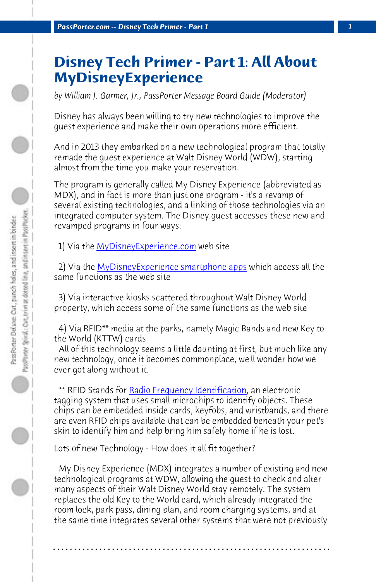*PassPorter.com -- Disney Tech Primer - Part 1 1*

## **Disney Tech Primer - Part 1: All About MyDi[sneyExperience](http://www.mydisneyexperience.com)**

*by William J[. Garmer, Jr., PassPorter Message Board Gu](https://disneyworld.disney.go.com/plan/my-disney-experience/mobile-apps/)ide (Moderator)*

Disney has always been willing to try new technologies to improve the guest experience and make their own operations more efficient.

And in 2013 they embarked on a new technological program that totally remade the guest experience at Walt Disney World (WDW), starting almost from the time you make your reservation.

The program is generally called My Disney Experience (abbreviated as MDX), and in fact is more than just one program - it's a revamp of several existing technologies, and a linking of those technologies via an integrated comput[er system. The Disney guest acc](http://en.wikipedia.org/wiki/Radio-frequency_identification)esses these new and revamped programs in four ways:

 1) Via the MyDisneyExperience.com web site

 2) Via the MyDisneyExperience smartphone apps which access all the same functions as the web site

 3) Via interactive kiosks scattered throughout Walt Disney World property, which access some of the same functions as the web site

 4) Via RFID\*\* media at the parks, namely Magic Bands and new Key to the World (KTTW) cards

 All of this technology seems a little daunting at first, but much like any new technology, once it becomes commonplace, we'll wonder how we ever got along without it.

\*\* RFID Stands for Radio Frequency Identification, an electronic tagging system that uses small microchips to identify objects. These chips can be embedded inside cards, keyfobs, and wristbands, and there are even RFID chips available that can be embedded beneath your pet's skin to identify him and help bring him safely home if he is lost.

Lots of new Technology - How does it all fit together?

 My Disney Experience (MDX) integrates a number of existing and new technological programs at WDW, allowing the guest to check and alter many aspects of their Walt Disney World stay remotely. The system replaces the old Key to the World card, which already integrated the room lock, park pass, dining plan, and room charging systems, and at the same time integrates several other systems that were not previously

**. . . . . . . . . . . . . . . . . . . . . . . . . . . . . . . . . . . . . . . . . . . . . . . . . . . . . . . . . . . . . . . . . .**

 $\bigcirc$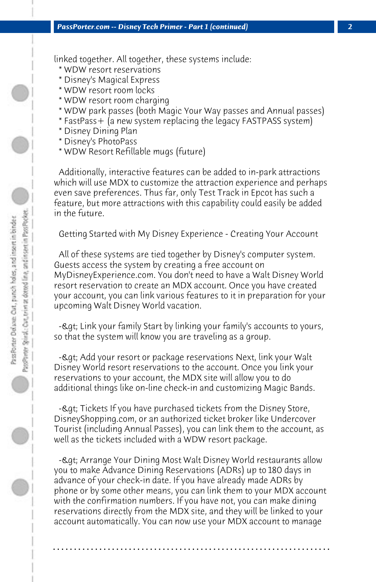linked together. All together, these systems include:

- \* WDW resort reservations
- \* Disney's Magical Express
- \* WDW resort room locks
- \* WDW resort room charging
- \* WDW park passes (both Magic Your Way passes and Annual passes)
- \* FastPass+ (a new system replacing the legacy FASTPASS system)
- \* Disney Dining Plan
- \* Disney's PhotoPass
- \* WDW Resort Refillable mugs (future)

 Additionally, interactive features can be added to in-park attractions which will use MDX to customize the attraction experience and perhaps even save preferences. Thus far, only Test Track in Epcot has such a feature, but more attractions with this capability could easily be added in the future.

 Getting Started with My Disney Experience - Creating Your Account

 All of these systems are tied together by Disney's computer system. Guests access the system by creating a free account on MyDisneyExperience.com. You don't need to have a Walt Disney World resort reservation to create an MDX account. Once you have created your account, you can link various features to it in preparation for your upcoming Walt Disney World vacation.

- Link your family Start by linking your family's accounts to yours, so that the system will know you are traveling as a group.

-> Add your resort or package reservations Next, link your Walt Disney World resort reservations to the account. Once you link your reservations to your account, the MDX site will allow you to do additional things like on-line check-in and customizing Magic Bands.

- Lat: Tickets If you have purchased tickets from the Disney Store, DisneyShopping.com, or an authorized ticket broker like Undercover Tourist (including Annual Passes), you can link them to the account, as well as the tickets included with a WDW resort package.

- Lat; Arrange Your Dining Most Walt Disney World restaurants allow you to make Advance Dining Reservations (ADRs) up to 180 days in advance of your check-in date. If you have already made ADRs by phone or by some other means, you can link them to your MDX account with the confirmation numbers. If you have not, you can make dining reservations directly from the MDX site, and they will be linked to your account automatically. You can now use your MDX account to manage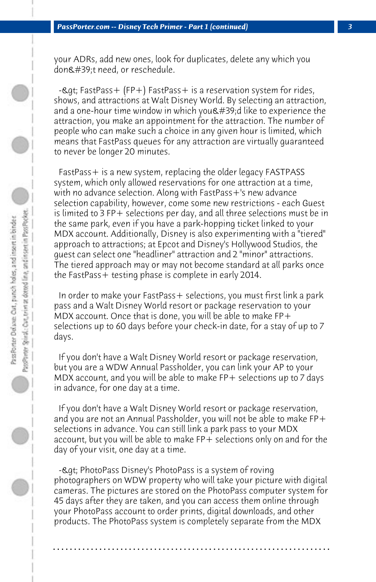your ADRs, add new ones, look for duplicates, delete any which you don't need, or reschedule.

 $-e$ qt; FastPass + (FP+) FastPass + is a reservation system for rides, shows, and attractions at Walt Disney World. By selecting an attraction, and a one-hour time window in which you  $\&\#39$ ; d like to experience the attraction, you make an appointment for the attraction. The number of people who can make such a choice in any given hour is limited, which means that FastPass queues for any attraction are virtually guaranteed to never be longer 20 minutes.

 FastPass+ is a new system, replacing the older legacy FASTPASS system, which only allowed reservations for one attraction at a time, with no advance selection. Along with FastPass+'s new advance selection capability, however, come some new restrictions - each Guest is limited to 3 FP+ selections per day, and all three selections must be in the same park, even if you have a park-hopping ticket linked to your MDX account. Additionally, Disney is also experimenting with a "tiered" approach to attractions; at Epcot and Disney's Hollywood Studios, the guest can select one "headliner" attraction and 2 "minor" attractions. The tiered approach may or may not become standard at all parks once the FastPass+ testing phase is complete in early 2014.

 In order to make your FastPass+ selections, you must first link a park pass and a Walt Disney World resort or package reservation to your MDX account. Once that is done, you will be able to make  $FP+$ selections up to 60 days before your check-in date, for a stay of up to 7 days.

 If you don't have a Walt Disney World resort or package reservation, but you are a WDW Annual Passholder, you can link your AP to your MDX account, and you will be able to make FP+ selections up to 7 days in advance, for one day at a time.

 If you don't have a Walt Disney World resort or package reservation, and you are not an Annual Passholder, you will not be able to make FP+ selections in advance. You can still link a park pass to your MDX account, but you will be able to make FP+ selections only on and for the day of your visit, one day at a time.

- & qt; PhotoPass Disney's PhotoPass is a system of roving photographers on WDW property who will take your picture with digital cameras. The pictures are stored on the PhotoPass computer system for 45 days after they are taken, and you can access them online through your PhotoPass account to order prints, digital downloads, and other products. The PhotoPass system is completely separate from the MDX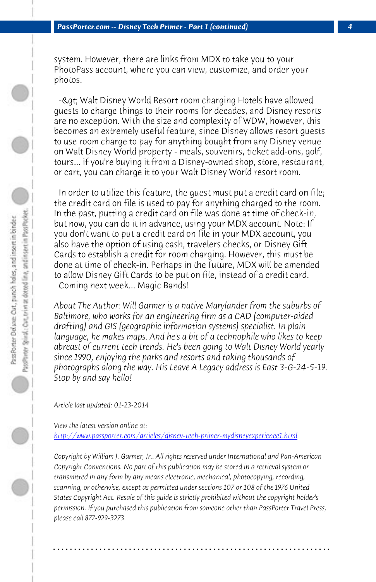system. However, there are links from MDX to take you to your PhotoPass account, where you can view, customize, and order your photos.

-& qt; Walt Disney World Resort room charging Hotels have allowed guests to charge things to their rooms for decades, and Disney resorts are no exception. With the size and complexity of WDW, however, this becomes an extremely useful feature, since Disney allows resort guests to use room charge to pay for anything bought from any Disney venue on Walt Disney World property - meals, souvenirs, ticket add-ons, golf, tours... if you're buying it from a Disney-owned shop, store, restaurant, or cart, you can charge it to your Walt Disney World resort room.

 In order to utilize this feature, the guest must put a credit card on file; the credit card on file is used to pay for anything charged to the room. In the past, putting a credit card on file was done at time of check-in, but now, you can do it in advance, using your MDX account. Note: If you don't want to put a credit card on file in your MDX account, you also have the option of using cash, travelers checks, or Disney Gift Cards to establish a credit for room charging. However, this must be [done at time of check-in. Perhaps in the future, MDX will be ame](http://www.passporter.com/articles/disney-tech-primer-mydisneyexperience1.php)nded to allow Disney Gift Cards to be put on file, instead of a credit card. Coming next week... Magic Bands!

*About The Author: Will Garmer is a native Marylander from the suburbs of Baltimore, who works for an engineering firm as a CAD (computer-aided drafting) and GIS (geographic information systems) specialist. In plain language, he makes maps. And he's a bit of a technophile who likes to keep abreast of current tech trends. He's been going to Walt Disney World yearly since 1990, enjoying the parks and resorts and taking thousands of photographs along the way. His Leave A Legacy address is East 3-G-24-5-19. Stop by and say hello!*

*Article last updated: 01-23-2014*

*View the latest version online at: http://www.passporter.com/articles/disney-tech-primer-mydisneyexperience1.html*

*Copyright by William J. Garmer, Jr.. All rights reserved under International and Pan-American Copyright Conventions. No part of this publication may be stored in a retrieval system or transmitted in any form by any means electronic, mechanical, photocopying, recording, scanning, or otherwise, except as permitted under sections 107 or 108 of the 1976 United States Copyright Act. Resale of this guide is strictly prohibited without the copyright holder's permission. If you purchased this publication from someone other than PassPorter Travel Press, please call 877-929-3273.*